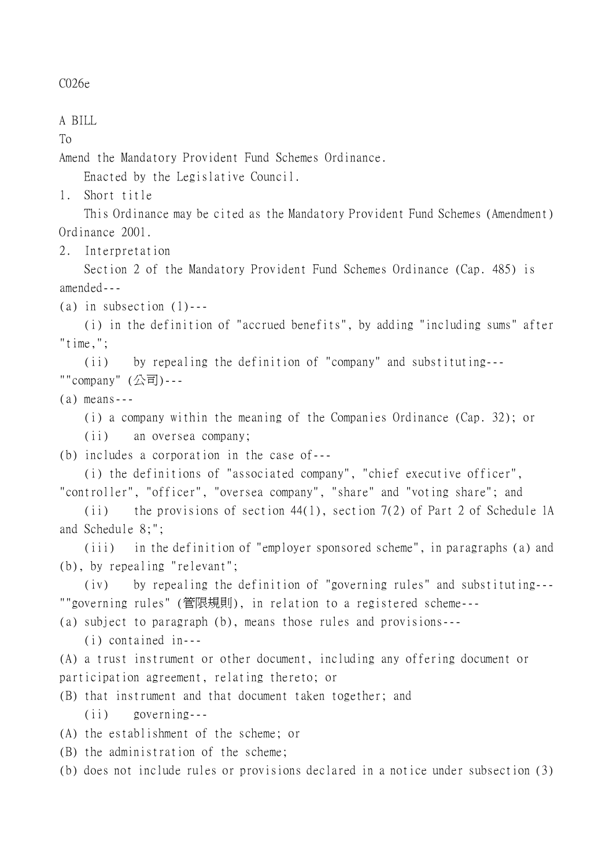C026e

A BILL

To

Amend the Mandatory Provident Fund Schemes Ordinance.

Enacted by the Legislative Council.

1. Short title

This Ordinance may be cited as the Mandatory Provident Fund Schemes (Amendment) Ordinance 2001.

2. Interpretation

Section 2 of the Mandatory Provident Fund Schemes Ordinance (Cap. 485) is amended---

(a) in subsection  $(1)$ ---

(i) in the definition of "accrued benefits", by adding "including sums" after "time,";

(ii) by repealing the definition of "company" and substituting--- ""company" (公司)---

(a) means---

(i) a company within the meaning of the Companies Ordinance (Cap. 32); or

(ii) an oversea company;

(b) includes a corporation in the case of---

(i) the definitions of "associated company", "chief executive officer", "controller", "officer", "oversea company", "share" and "voting share"; and

(ii) the provisions of section 44(1), section 7(2) of Part 2 of Schedule 1A and Schedule 8;";

(iii) in the definition of "employer sponsored scheme", in paragraphs (a) and (b), by repealing "relevant";

(iv) by repealing the definition of "governing rules" and substituting--- ""governing rules" (管限規則), in relation to a registered scheme---

(a) subject to paragraph (b), means those rules and provisions---

(i) contained in---

(A) a trust instrument or other document, including any offering document or participation agreement, relating thereto; or

- (B) that instrument and that document taken together; and (ii) governing---
- (A) the establishment of the scheme; or

(B) the administration of the scheme;

(b) does not include rules or provisions declared in a notice under subsection (3)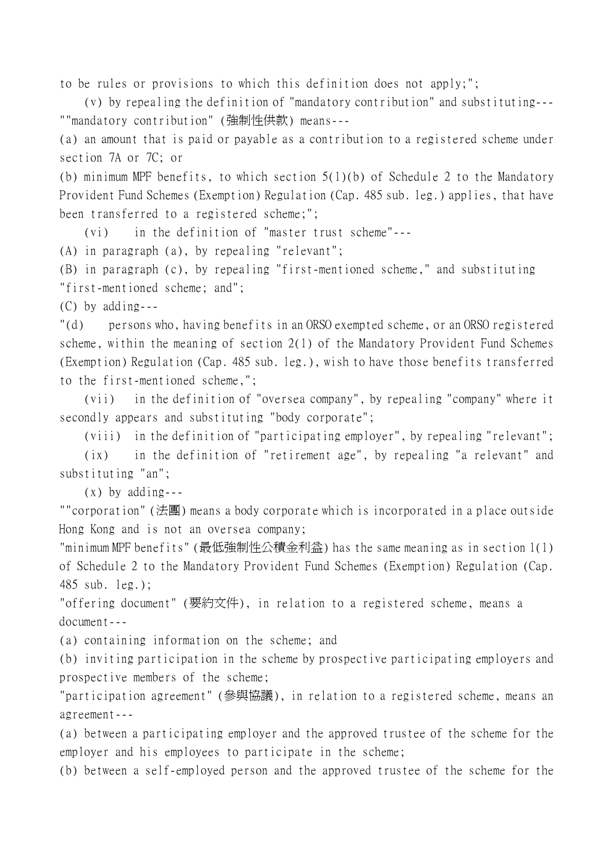to be rules or provisions to which this definition does not apply;";

(v) by repealing the definition of "mandatory contribution" and substituting--- ""mandatory contribution" (強制性供款) means---

(a) an amount that is paid or payable as a contribution to a registered scheme under section 7A or 7C; or

(b) minimum MPF benefits, to which section 5(1)(b) of Schedule 2 to the Mandatory Provident Fund Schemes (Exemption) Regulation (Cap. 485 sub. leg.) applies, that have been transferred to a registered scheme;";

(vi) in the definition of "master trust scheme"---

(A) in paragraph (a), by repealing "relevant";

(B) in paragraph (c), by repealing "first-mentioned scheme," and substituting "first-mentioned scheme; and";

(C) by adding---

"(d) persons who, having benefits in an ORSO exempted scheme, or an ORSO registered scheme, within the meaning of section 2(1) of the Mandatory Provident Fund Schemes (Exemption) Regulation (Cap. 485 sub. leg.), wish to have those benefits transferred to the first-mentioned scheme,";

(vii) in the definition of "oversea company", by repealing "company" where it secondly appears and substituting "body corporate";

(viii) in the definition of "participating employer", by repealing "relevant";

(ix) in the definition of "retirement age", by repealing "a relevant" and substituting "an";

 $(x)$  by adding---

""corporation" (法團) means a body corporate which is incorporated in a place outside Hong Kong and is not an oversea company;

"minimum MPF benefits" (最低強制性公積金利益) has the same meaning as in section 1(1) of Schedule 2 to the Mandatory Provident Fund Schemes (Exemption) Regulation (Cap. 485 sub. leg.);

"offering document" (要約文件), in relation to a registered scheme, means a document---

(a) containing information on the scheme; and

(b) inviting participation in the scheme by prospective participating employers and prospective members of the scheme;

"participation agreement" (參與協議), in relation to a registered scheme, means an agreement---

(a) between a participating employer and the approved trustee of the scheme for the employer and his employees to participate in the scheme;

(b) between a self-employed person and the approved trustee of the scheme for the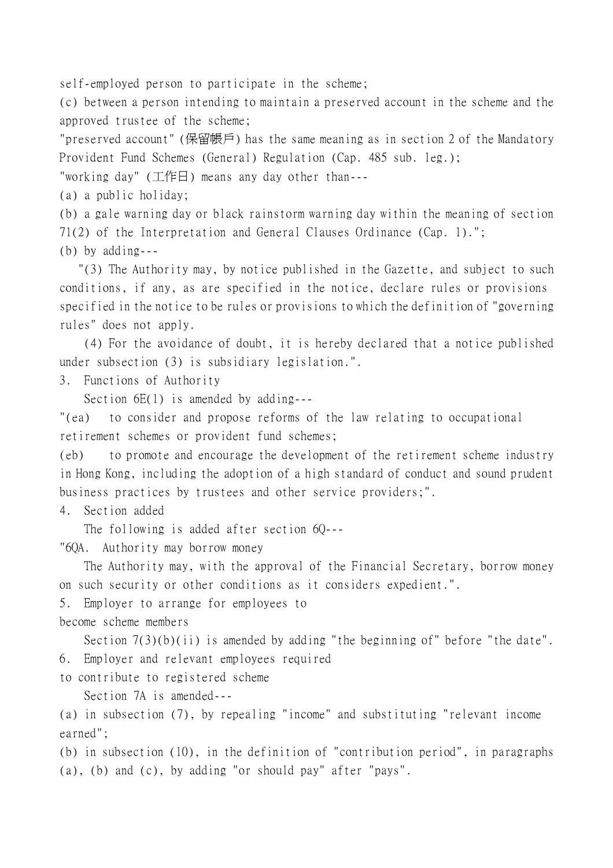self-employed person to participate in the scheme;

(c) between a person intending to maintain a preserved account in the scheme and the approved trustee of the scheme;

"preserved account" (保留帳戶) has the same meaning as in section 2 of the Mandatory Provident Fund Schemes (General) Regulation (Cap. 485 sub. leg.);

"working day" (工作日) means any day other than---

(a) a public holiday;

(b) a gale warning day or black rainstorm warning day within the meaning of section 71(2) of the Interpretation and General Clauses Ordinance (Cap. 1)."; (b) by adding---

 "(3) The Authority may, by notice published in the Gazette, and subject to such conditions, if any, as are specified in the notice, declare rules or provisions specified in the notice to be rules or provisions to which the definition of "governing rules" does not apply.

(4) For the avoidance of doubt, it is hereby declared that a notice published under subsection (3) is subsidiary legislation.".

3. Functions of Authority

Section  $6E(1)$  is amended by adding---

"(ea) to consider and propose reforms of the law relating to occupational retirement schemes or provident fund schemes;

(eb) to promote and encourage the development of the retirement scheme industry in Hong Kong, including the adoption of a high standard of conduct and sound prudent business practices by trustees and other service providers;".

4. Section added

The following is added after section 60---

"6QA. Authority may borrow money

The Authority may, with the approval of the Financial Secretary, borrow money on such security or other conditions as it considers expedient.".

5. Employer to arrange for employees to

become scheme members

Section  $7(3)(b)(ii)$  is amended by adding "the beginning of" before "the date". 6. Employer and relevant employees required

to contribute to registered scheme

Section 7A is amended---

(a) in subsection (7), by repealing "income" and substituting "relevant income earned";

(b) in subsection (10), in the definition of "contribution period", in paragraphs (a), (b) and (c), by adding "or should pay" after "pays".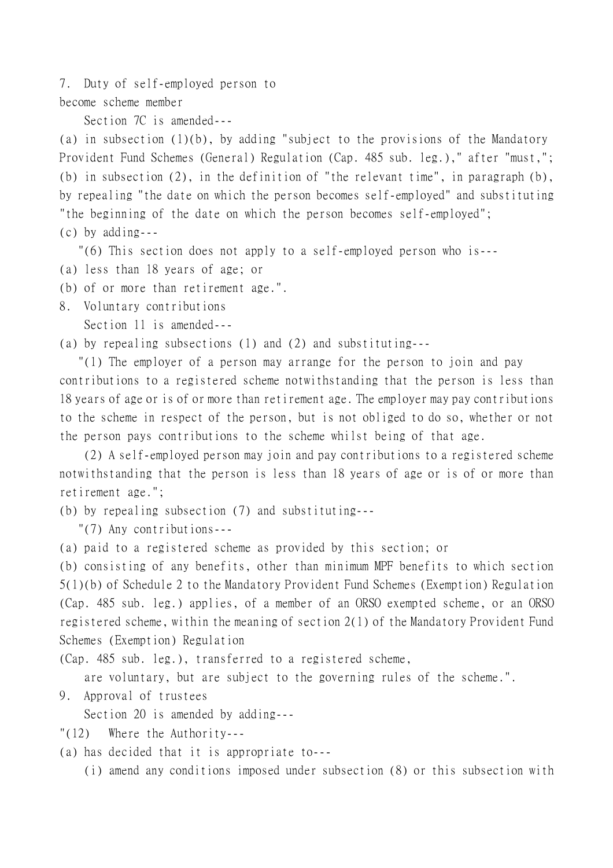7. Duty of self-employed person to

become scheme member

Section 7C is amended---

(a) in subsection (1)(b), by adding "subject to the provisions of the Mandatory Provident Fund Schemes (General) Regulation (Cap. 485 sub. leg.)," after "must,"; (b) in subsection (2), in the definition of "the relevant time", in paragraph (b), by repealing "the date on which the person becomes self-employed" and substituting "the beginning of the date on which the person becomes self-employed"; (c) by adding---

"(6) This section does not apply to a self-employed person who is---

(a) less than 18 years of age; or

(b) of or more than retirement age.".

8. Voluntary contributions

Section 11 is amended---

(a) by repealing subsections (1) and (2) and substituting---

 "(1) The employer of a person may arrange for the person to join and pay contributions to a registered scheme notwithstanding that the person is less than 18 years of age or is of or more than retirement age. The employer may pay contributions to the scheme in respect of the person, but is not obliged to do so, whether or not the person pays contributions to the scheme whilst being of that age.

(2) A self-employed person may join and pay contributions to a registered scheme notwithstanding that the person is less than 18 years of age or is of or more than retirement age.";

(b) by repealing subsection (7) and substituting---

"(7) Any contributions---

(a) paid to a registered scheme as provided by this section; or

(b) consisting of any benefits, other than minimum MPF benefits to which section 5(1)(b) of Schedule 2 to the Mandatory Provident Fund Schemes (Exemption) Regulation (Cap. 485 sub. leg.) applies, of a member of an ORSO exempted scheme, or an ORSO registered scheme, within the meaning of section 2(1) of the Mandatory Provident Fund Schemes (Exemption) Regulation

(Cap. 485 sub. leg.), transferred to a registered scheme,

are voluntary, but are subject to the governing rules of the scheme.".

9. Approval of trustees

Section 20 is amended by adding---

"(12) Where the Authority---

(a) has decided that it is appropriate to---

(i) amend any conditions imposed under subsection (8) or this subsection with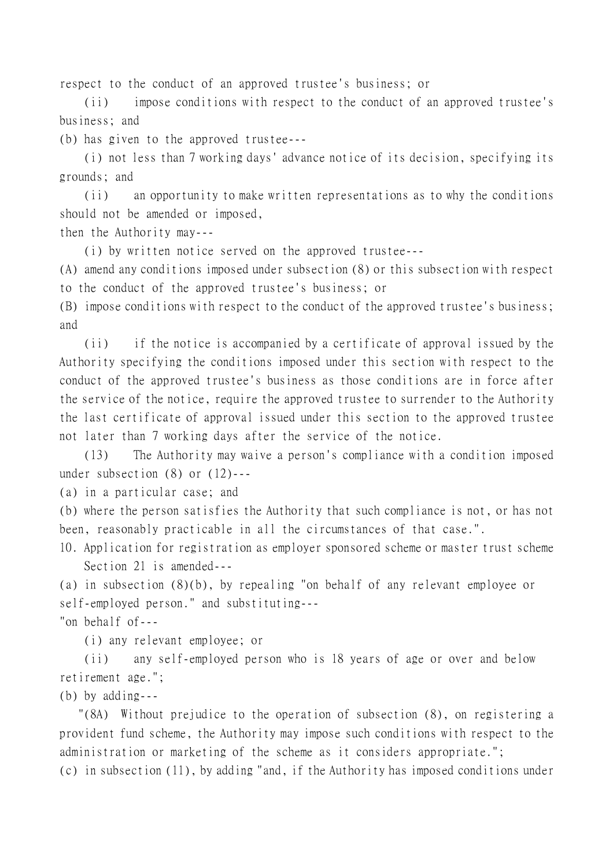respect to the conduct of an approved trustee's business; or

(ii) impose conditions with respect to the conduct of an approved trustee's business; and

(b) has given to the approved trustee---

(i) not less than 7 working days' advance notice of its decision, specifying its grounds; and

(ii) an opportunity to make written representations as to why the conditions should not be amended or imposed,

then the Authority may---

(i) by written notice served on the approved trustee---

(A) amend any conditions imposed under subsection (8) or this subsection with respect to the conduct of the approved trustee's business; or

(B) impose conditions with respect to the conduct of the approved trustee's business; and

(ii) if the notice is accompanied by a certificate of approval issued by the Authority specifying the conditions imposed under this section with respect to the conduct of the approved trustee's business as those conditions are in force after the service of the notice, require the approved trustee to surrender to the Authority the last certificate of approval issued under this section to the approved trustee not later than 7 working days after the service of the notice.

(13) The Authority may waive a person's compliance with a condition imposed under subsection (8) or (12)---

(a) in a particular case; and

(b) where the person satisfies the Authority that such compliance is not, or has not been, reasonably practicable in all the circumstances of that case.".

10. Application for registration as employer sponsored scheme or master trust scheme Section 21 is amended---

(a) in subsection (8)(b), by repealing "on behalf of any relevant employee or self-employed person." and substituting---

"on behalf of---

(i) any relevant employee; or

(ii) any self-employed person who is 18 years of age or over and below retirement age.";

(b) by adding---

 "(8A) Without prejudice to the operation of subsection (8), on registering a provident fund scheme, the Authority may impose such conditions with respect to the administration or marketing of the scheme as it considers appropriate."; (c) in subsection (11), by adding "and, if the Authority has imposed conditions under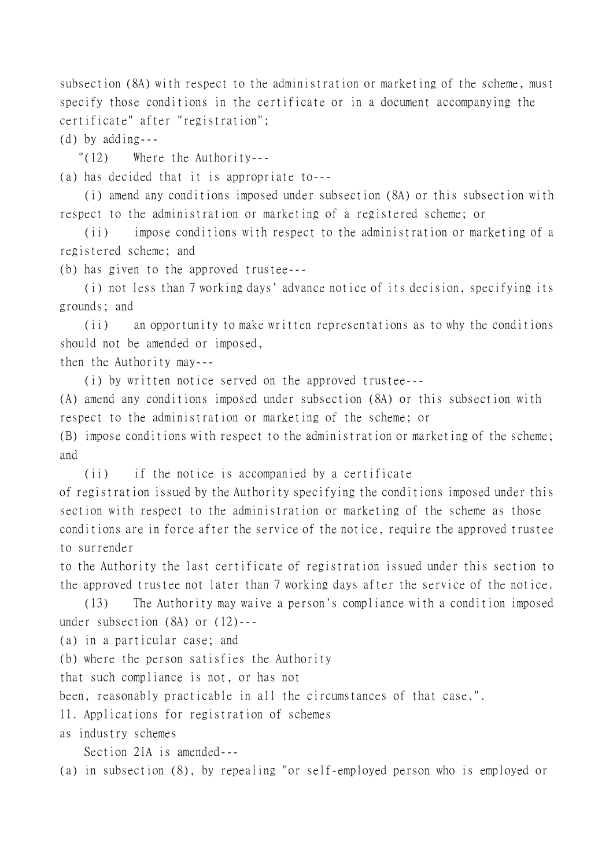subsection (8A) with respect to the administration or marketing of the scheme, must specify those conditions in the certificate or in a document accompanying the certificate" after "registration";

(d) by adding---

"(12) Where the Authority---

(a) has decided that it is appropriate to---

(i) amend any conditions imposed under subsection (8A) or this subsection with respect to the administration or marketing of a registered scheme; or

(ii) impose conditions with respect to the administration or marketing of a registered scheme; and

(b) has given to the approved trustee---

(i) not less than 7 working days' advance notice of its decision, specifying its grounds; and

(ii) an opportunity to make written representations as to why the conditions should not be amended or imposed,

then the Authority may---

(i) by written notice served on the approved trustee---

(A) amend any conditions imposed under subsection (8A) or this subsection with respect to the administration or marketing of the scheme; or

(B) impose conditions with respect to the administration or marketing of the scheme; and

(ii) if the notice is accompanied by a certificate

of registration issued by the Authority specifying the conditions imposed under this section with respect to the administration or marketing of the scheme as those conditions are in force after the service of the notice, require the approved trustee to surrender

to the Authority the last certificate of registration issued under this section to the approved trustee not later than 7 working days after the service of the notice.

(13) The Authority may waive a person's compliance with a condition imposed under subsection (8A) or (12)---

(a) in a particular case; and

(b) where the person satisfies the Authority

that such compliance is not, or has not

been, reasonably practicable in all the circumstances of that case.".

11. Applications for registration of schemes

as industry schemes

Section 21A is amended---

(a) in subsection (8), by repealing "or self-employed person who is employed or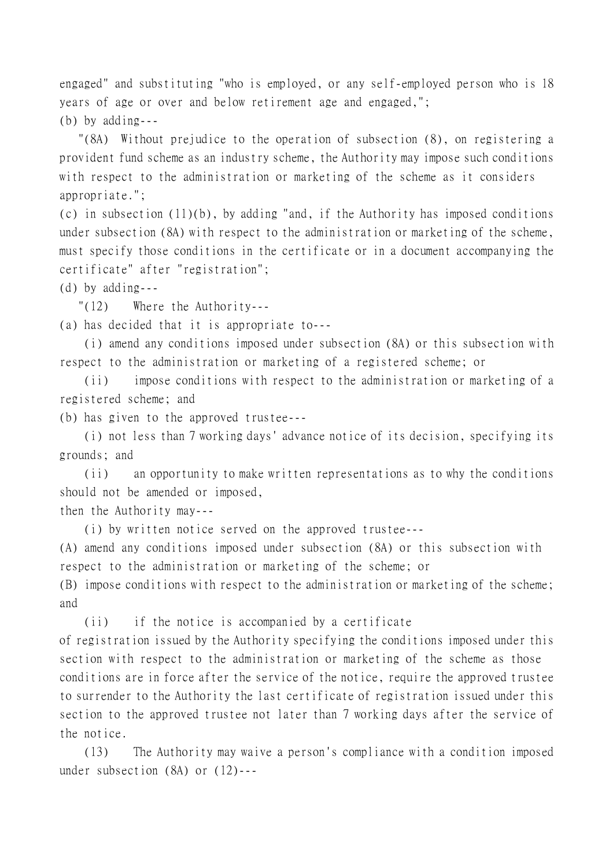engaged" and substituting "who is employed, or any self-employed person who is 18 years of age or over and below retirement age and engaged,"; (b) by adding---

 "(8A) Without prejudice to the operation of subsection (8), on registering a provident fund scheme as an industry scheme, the Authority may impose such conditions with respect to the administration or marketing of the scheme as it considers appropriate.";

(c) in subsection (11)(b), by adding "and, if the Authority has imposed conditions under subsection (8A) with respect to the administration or marketing of the scheme, must specify those conditions in the certificate or in a document accompanying the certificate" after "registration";

(d) by adding---

"(12) Where the Authority---

(a) has decided that it is appropriate to---

(i) amend any conditions imposed under subsection (8A) or this subsection with respect to the administration or marketing of a registered scheme; or

(ii) impose conditions with respect to the administration or marketing of a registered scheme; and

(b) has given to the approved trustee---

(i) not less than 7 working days' advance notice of its decision, specifying its grounds; and

(ii) an opportunity to make written representations as to why the conditions should not be amended or imposed,

then the Authority may---

(i) by written notice served on the approved trustee---

(A) amend any conditions imposed under subsection (8A) or this subsection with respect to the administration or marketing of the scheme; or

(B) impose conditions with respect to the administration or marketing of the scheme; and

(ii) if the notice is accompanied by a certificate

of registration issued by the Authority specifying the conditions imposed under this section with respect to the administration or marketing of the scheme as those conditions are in force after the service of the notice, require the approved trustee to surrender to the Authority the last certificate of registration issued under this section to the approved trustee not later than 7 working days after the service of the notice.

(13) The Authority may waive a person's compliance with a condition imposed under subsection (8A) or (12)---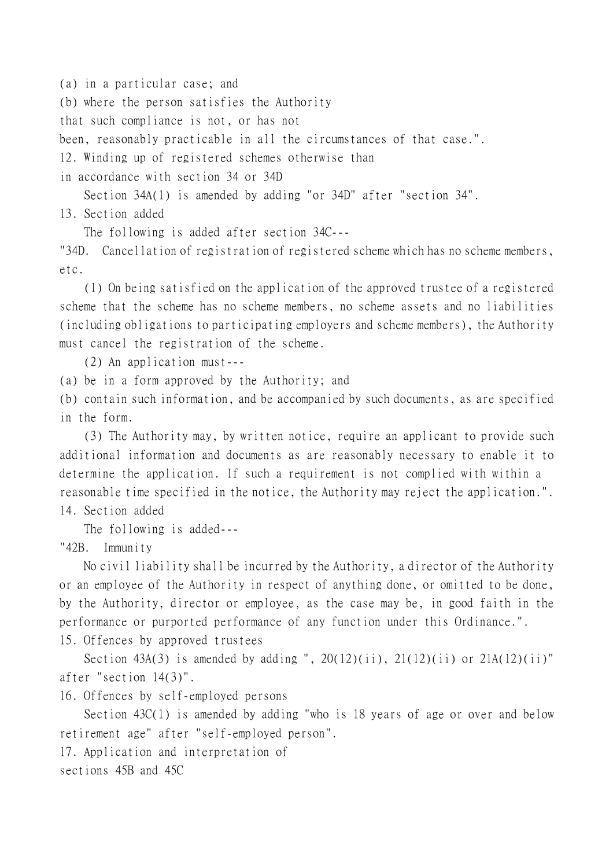(a) in a particular case; and (b) where the person satisfies the Authority that such compliance is not, or has not been, reasonably practicable in all the circumstances of that case.". 12. Winding up of registered schemes otherwise than in accordance with section 34 or 34D

Section 34A(1) is amended by adding "or 34D" after "section 34". 13. Section added

The following is added after section 34C---

"34D. Cancellation of registration of registered scheme which has no scheme members, etc.

(1) On being satisfied on the application of the approved trustee of a registered scheme that the scheme has no scheme members, no scheme assets and no liabilities (including obligations to participating employers and scheme members), the Authority must cancel the registration of the scheme.

(2) An application must---

(a) be in a form approved by the Authority; and

(b) contain such information, and be accompanied by such documents, as are specified in the form.

(3) The Authority may, by written notice, require an applicant to provide such additional information and documents as are reasonably necessary to enable it to determine the application. If such a requirement is not complied with within a reasonable time specified in the notice, the Authority may reject the application.". 14. Section added

The following is added---

"42B. Immunity

No civil liability shall be incurred by the Authority, a director of the Authority or an employee of the Authority in respect of anything done, or omitted to be done, by the Authority, director or employee, as the case may be, in good faith in the performance or purported performance of any function under this Ordinance.". 15. Offences by approved trustees

Section 43A(3) is amended by adding ",  $20(12)(ii)$ ,  $21(12)(ii)$  or  $21A(12)(ii)$ " after "section 14(3)".

16. Offences by self-employed persons

Section 43C(1) is amended by adding "who is 18 years of age or over and below retirement age" after "self-employed person".

17. Application and interpretation of

sections 45B and 45C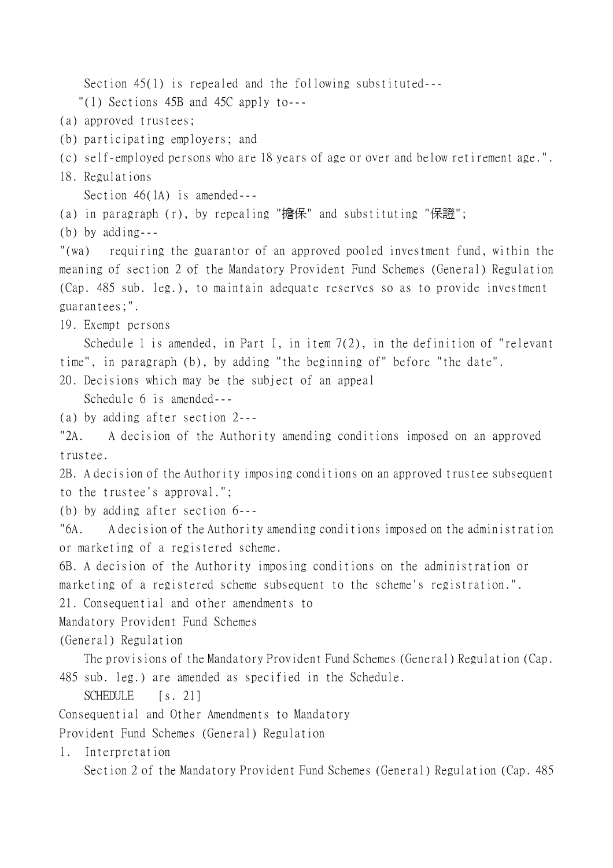Section 45(1) is repealed and the following substituted---

"(1) Sections 45B and 45C apply to---

- (a) approved trustees;
- (b) participating employers; and
- (c) self-employed persons who are 18 years of age or over and below retirement age.".
- 18. Regulations

Section 46(1A) is amended---

(a) in paragraph (r), by repealing "擔保" and substituting "保證";

(b) by adding---

"(wa) requiring the guarantor of an approved pooled investment fund, within the meaning of section 2 of the Mandatory Provident Fund Schemes (General) Regulation (Cap. 485 sub. leg.), to maintain adequate reserves so as to provide investment guarantees;".

19. Exempt persons

Schedule 1 is amended, in Part I, in item  $7(2)$ , in the definition of "relevant" time", in paragraph (b), by adding "the beginning of" before "the date".

20. Decisions which may be the subject of an appeal

Schedule 6 is amended---

(a) by adding after section 2---

"2A. A decision of the Authority amending conditions imposed on an approved trustee.

2B. A decision of the Authority imposing conditions on an approved trustee subsequent to the trustee's approval.";

(b) by adding after section 6---

"6A. A decision of the Authority amending conditions imposed on the administration or marketing of a registered scheme.

6B. A decision of the Authority imposing conditions on the administration or marketing of a registered scheme subsequent to the scheme's registration.".

21. Consequential and other amendments to

Mandatory Provident Fund Schemes

(General) Regulation

The provisions of the Mandatory Provident Fund Schemes (General) Regulation (Cap. 485 sub. leg.) are amended as specified in the Schedule.

SCHEDULE [s. 21]

Consequential and Other Amendments to Mandatory

Provident Fund Schemes (General) Regulation

1. Interpretation

Section 2 of the Mandatory Provident Fund Schemes (General) Regulation (Cap. 485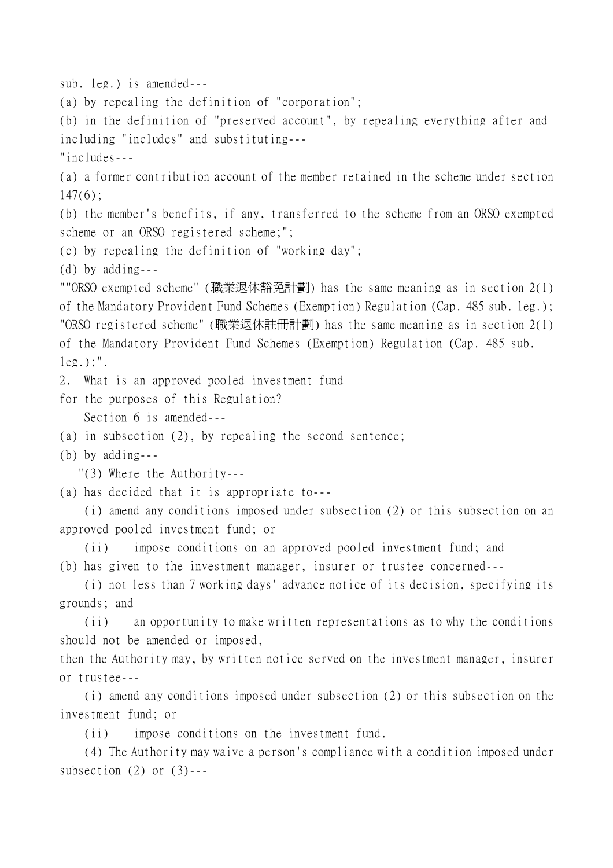sub. leg.) is amended--- (a) by repealing the definition of "corporation"; (b) in the definition of "preserved account", by repealing everything after and including "includes" and substituting--- "includes--- (a) a former contribution account of the member retained in the scheme under section  $147(6)$ ; (b) the member's benefits, if any, transferred to the scheme from an ORSO exempted scheme or an ORSO registered scheme;"; (c) by repealing the definition of "working day"; (d) by adding--- ""ORSO exempted scheme" (職業退休豁免計劃) has the same meaning as in section 2(1) of the Mandatory Provident Fund Schemes (Exemption) Regulation (Cap. 485 sub. leg.); "ORSO registered scheme" (職業退休註冊計劃) has the same meaning as in section 2(1) of the Mandatory Provident Fund Schemes (Exemption) Regulation (Cap. 485 sub.  $leg.$ ;". 2. What is an approved pooled investment fund for the purposes of this Regulation? Section 6 is amended--- (a) in subsection (2), by repealing the second sentence; (b) by adding--- "(3) Where the Authority--- (a) has decided that it is appropriate to--- (i) amend any conditions imposed under subsection (2) or this subsection on an approved pooled investment fund; or (ii) impose conditions on an approved pooled investment fund; and (b) has given to the investment manager, insurer or trustee concerned--- (i) not less than 7 working days' advance notice of its decision, specifying its grounds; and (ii) an opportunity to make written representations as to why the conditions should not be amended or imposed, then the Authority may, by written notice served on the investment manager, insurer or trustee--- (i) amend any conditions imposed under subsection (2) or this subsection on the investment fund; or (ii) impose conditions on the investment fund.

(4) The Authority may waive a person's compliance with a condition imposed under subsection  $(2)$  or  $(3)$ ---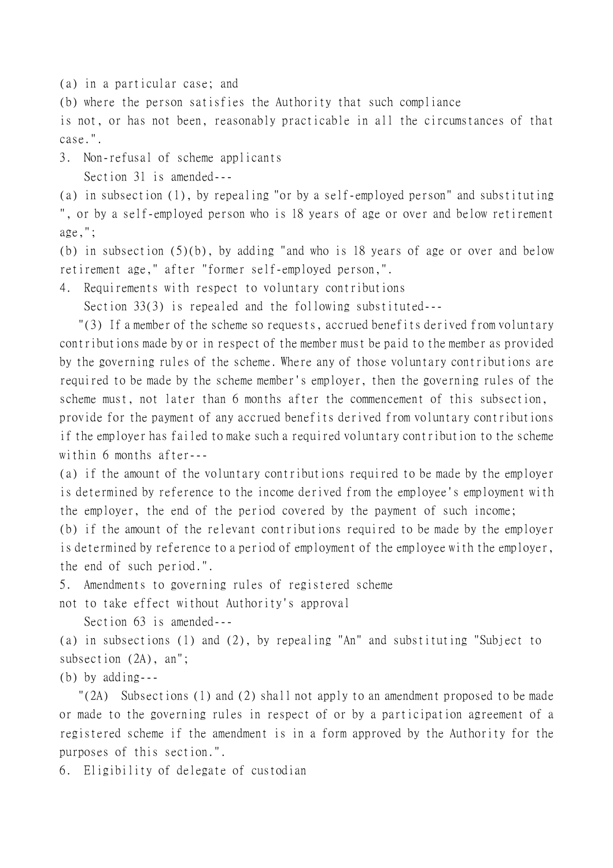(a) in a particular case; and

(b) where the person satisfies the Authority that such compliance

is not, or has not been, reasonably practicable in all the circumstances of that case.".

3. Non-refusal of scheme applicants Section 31 is amended---

(a) in subsection (1), by repealing "or by a self-employed person" and substituting ", or by a self-employed person who is 18 years of age or over and below retirement age,";

(b) in subsection (5)(b), by adding "and who is 18 years of age or over and below retirement age," after "former self-employed person,".

4. Requirements with respect to voluntary contributions

Section 33(3) is repealed and the following substituted---

 "(3) If a member of the scheme so requests, accrued benefits derived from voluntary contributions made by or in respect of the member must be paid to the member as provided by the governing rules of the scheme. Where any of those voluntary contributions are required to be made by the scheme member's employer, then the governing rules of the scheme must, not later than 6 months after the commencement of this subsection, provide for the payment of any accrued benefits derived from voluntary contributions if the employer has failed to make such a required voluntary contribution to the scheme within 6 months after---

(a) if the amount of the voluntary contributions required to be made by the employer is determined by reference to the income derived from the employee's employment with the employer, the end of the period covered by the payment of such income;

(b) if the amount of the relevant contributions required to be made by the employer is determined by reference to a period of employment of the employee with the employer, the end of such period.".

5. Amendments to governing rules of registered scheme

not to take effect without Authority's approval

Section 63 is amended---

(a) in subsections (1) and (2), by repealing "An" and substituting "Subject to subsection (2A), an";

(b) by adding---

 "(2A) Subsections (1) and (2) shall not apply to an amendment proposed to be made or made to the governing rules in respect of or by a participation agreement of a registered scheme if the amendment is in a form approved by the Authority for the purposes of this section.".

6. Eligibility of delegate of custodian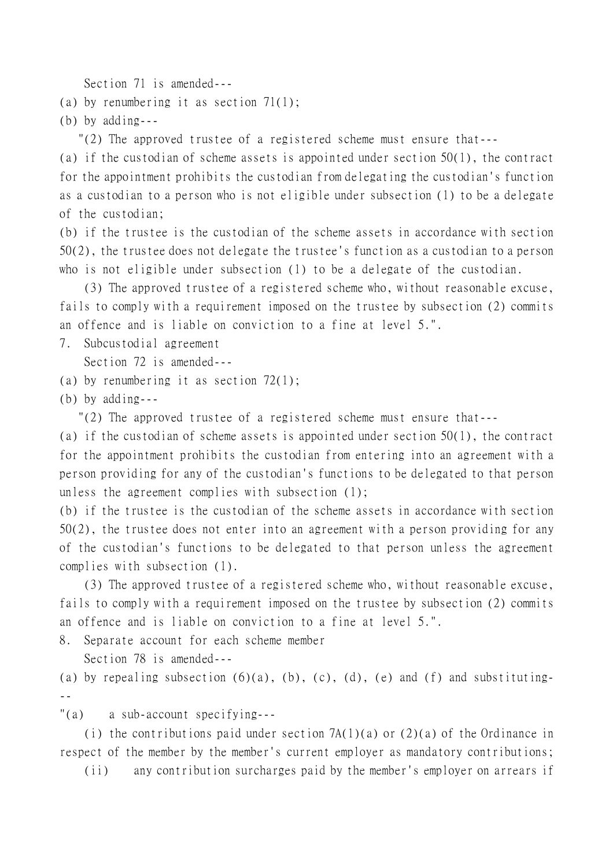Section 71 is amended---

(a) by renumbering it as section 71(1);

(b) by adding---

"(2) The approved trustee of a registered scheme must ensure that---

(a) if the custodian of scheme assets is appointed under section 50(1), the contract for the appointment prohibits the custodian from delegating the custodian's function as a custodian to a person who is not eligible under subsection (1) to be a delegate of the custodian;

(b) if the trustee is the custodian of the scheme assets in accordance with section 50(2), the trustee does not delegate the trustee's function as a custodian to a person who is not eligible under subsection (1) to be a delegate of the custodian.

(3) The approved trustee of a registered scheme who, without reasonable excuse, fails to comply with a requirement imposed on the trustee by subsection (2) commits an offence and is liable on conviction to a fine at level 5.".

7. Subcustodial agreement

Section 72 is amended---

(a) by renumbering it as section 72(1);

(b) by adding---

"(2) The approved trustee of a registered scheme must ensure that---

(a) if the custodian of scheme assets is appointed under section 50(1), the contract for the appointment prohibits the custodian from entering into an agreement with a person providing for any of the custodian's functions to be delegated to that person unless the agreement complies with subsection (1);

(b) if the trustee is the custodian of the scheme assets in accordance with section 50(2), the trustee does not enter into an agreement with a person providing for any of the custodian's functions to be delegated to that person unless the agreement complies with subsection (1).

(3) The approved trustee of a registered scheme who, without reasonable excuse, fails to comply with a requirement imposed on the trustee by subsection (2) commits an offence and is liable on conviction to a fine at level 5.".

8. Separate account for each scheme member

Section 78 is amended---

(a) by repealing subsection  $(6)(a)$ ,  $(b)$ ,  $(c)$ ,  $(d)$ ,  $(e)$  and  $(f)$  and substituting---

"(a) a sub-account specifying---

(i) the contributions paid under section 7A(1)(a) or (2)(a) of the Ordinance in respect of the member by the member's current employer as mandatory contributions;

(ii) any contribution surcharges paid by the member's employer on arrears if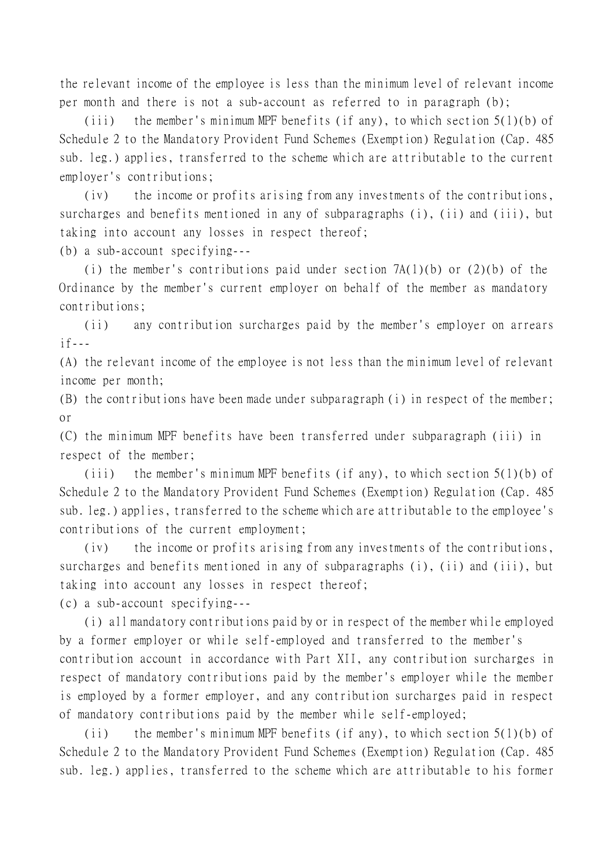the relevant income of the employee is less than the minimum level of relevant income per month and there is not a sub-account as referred to in paragraph (b);

(iii) the member's minimum MPF benefits (if any), to which section 5(1)(b) of Schedule 2 to the Mandatory Provident Fund Schemes (Exemption) Regulation (Cap. 485 sub. leg.) applies, transferred to the scheme which are attributable to the current employer's contributions;

(iv) the income or profits arising from any investments of the contributions, surcharges and benefits mentioned in any of subparagraphs (i), (ii) and (iii), but taking into account any losses in respect thereof;

(b) a sub-account specifying---

(i) the member's contributions paid under section  $7A(1)(b)$  or  $(2)(b)$  of the Ordinance by the member's current employer on behalf of the member as mandatory contributions;

(ii) any contribution surcharges paid by the member's employer on arrears  $if---$ 

(A) the relevant income of the employee is not less than the minimum level of relevant income per month;

(B) the contributions have been made under subparagraph (i) in respect of the member; or

(C) the minimum MPF benefits have been transferred under subparagraph (iii) in respect of the member;

(iii) the member's minimum MPF benefits (if any), to which section 5(1)(b) of Schedule 2 to the Mandatory Provident Fund Schemes (Exemption) Regulation (Cap. 485 sub. leg.) applies, transferred to the scheme which are attributable to the employee's contributions of the current employment;

(iv) the income or profits arising from any investments of the contributions, surcharges and benefits mentioned in any of subparagraphs (i), (ii) and (iii), but taking into account any losses in respect thereof;

(c) a sub-account specifying---

(i) all mandatory contributions paid by or in respect of the member while employed by a former employer or while self-employed and transferred to the member's contribution account in accordance with Part XII, any contribution surcharges in respect of mandatory contributions paid by the member's employer while the member is employed by a former employer, and any contribution surcharges paid in respect of mandatory contributions paid by the member while self-employed;

(ii) the member's minimum MPF benefits (if any), to which section 5(1)(b) of Schedule 2 to the Mandatory Provident Fund Schemes (Exemption) Regulation (Cap. 485 sub. leg.) applies, transferred to the scheme which are attributable to his former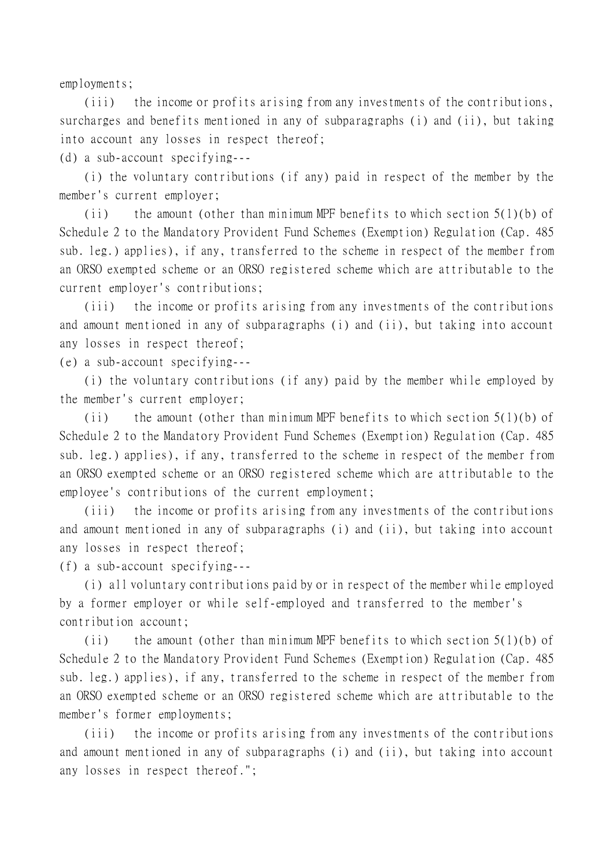employments;

(iii) the income or profits arising from any investments of the contributions, surcharges and benefits mentioned in any of subparagraphs (i) and (ii), but taking into account any losses in respect thereof;

(d) a sub-account specifying---

(i) the voluntary contributions (if any) paid in respect of the member by the member's current employer;

(ii) the amount (other than minimum MPF benefits to which section  $5(1)(b)$  of Schedule 2 to the Mandatory Provident Fund Schemes (Exemption) Regulation (Cap. 485 sub. leg.) applies), if any, transferred to the scheme in respect of the member from an ORSO exempted scheme or an ORSO registered scheme which are attributable to the current employer's contributions;

(iii) the income or profits arising from any investments of the contributions and amount mentioned in any of subparagraphs (i) and (ii), but taking into account any losses in respect thereof;

(e) a sub-account specifying---

(i) the voluntary contributions (if any) paid by the member while employed by the member's current employer;

(ii) the amount (other than minimum MPF benefits to which section 5(1)(b) of Schedule 2 to the Mandatory Provident Fund Schemes (Exemption) Regulation (Cap. 485 sub. leg.) applies), if any, transferred to the scheme in respect of the member from an ORSO exempted scheme or an ORSO registered scheme which are attributable to the employee's contributions of the current employment;

(iii) the income or profits arising from any investments of the contributions and amount mentioned in any of subparagraphs (i) and (ii), but taking into account any losses in respect thereof;

(f) a sub-account specifying---

(i) all voluntary contributions paid by or in respect of the member while employed by a former employer or while self-employed and transferred to the member's contribution account;

(ii) the amount (other than minimum MPF benefits to which section 5(1)(b) of Schedule 2 to the Mandatory Provident Fund Schemes (Exemption) Regulation (Cap. 485 sub. leg.) applies), if any, transferred to the scheme in respect of the member from an ORSO exempted scheme or an ORSO registered scheme which are attributable to the member's former employments;

(iii) the income or profits arising from any investments of the contributions and amount mentioned in any of subparagraphs (i) and (ii), but taking into account any losses in respect thereof.";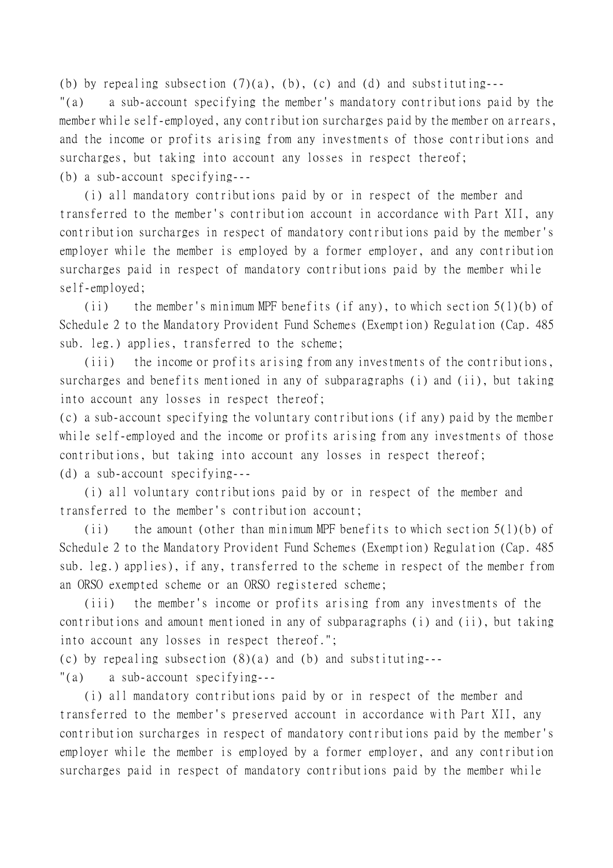(b) by repealing subsection  $(7)(a)$ , (b), (c) and (d) and substituting---

"(a) a sub-account specifying the member's mandatory contributions paid by the member while self-employed, any contribution surcharges paid by the member on arrears, and the income or profits arising from any investments of those contributions and surcharges, but taking into account any losses in respect thereof; (b) a sub-account specifying---

(i) all mandatory contributions paid by or in respect of the member and transferred to the member's contribution account in accordance with Part XII, any contribution surcharges in respect of mandatory contributions paid by the member's employer while the member is employed by a former employer, and any contribution surcharges paid in respect of mandatory contributions paid by the member while self-employed;

(ii) the member's minimum MPF benefits (if any), to which section 5(1)(b) of Schedule 2 to the Mandatory Provident Fund Schemes (Exemption) Regulation (Cap. 485 sub. leg.) applies, transferred to the scheme;

(iii) the income or profits arising from any investments of the contributions, surcharges and benefits mentioned in any of subparagraphs (i) and (ii), but taking into account any losses in respect thereof;

(c) a sub-account specifying the voluntary contributions (if any) paid by the member while self-employed and the income or profits arising from any investments of those contributions, but taking into account any losses in respect thereof; (d) a sub-account specifying---

(i) all voluntary contributions paid by or in respect of the member and transferred to the member's contribution account;

(ii) the amount (other than minimum MPF benefits to which section  $5(1)(b)$  of Schedule 2 to the Mandatory Provident Fund Schemes (Exemption) Regulation (Cap. 485 sub. leg.) applies), if any, transferred to the scheme in respect of the member from an ORSO exempted scheme or an ORSO registered scheme;

(iii) the member's income or profits arising from any investments of the contributions and amount mentioned in any of subparagraphs (i) and (ii), but taking into account any losses in respect thereof.";

(c) by repealing subsection (8)(a) and (b) and substituting---

"(a) a sub-account specifying---

(i) all mandatory contributions paid by or in respect of the member and transferred to the member's preserved account in accordance with Part XII, any contribution surcharges in respect of mandatory contributions paid by the member's employer while the member is employed by a former employer, and any contribution surcharges paid in respect of mandatory contributions paid by the member while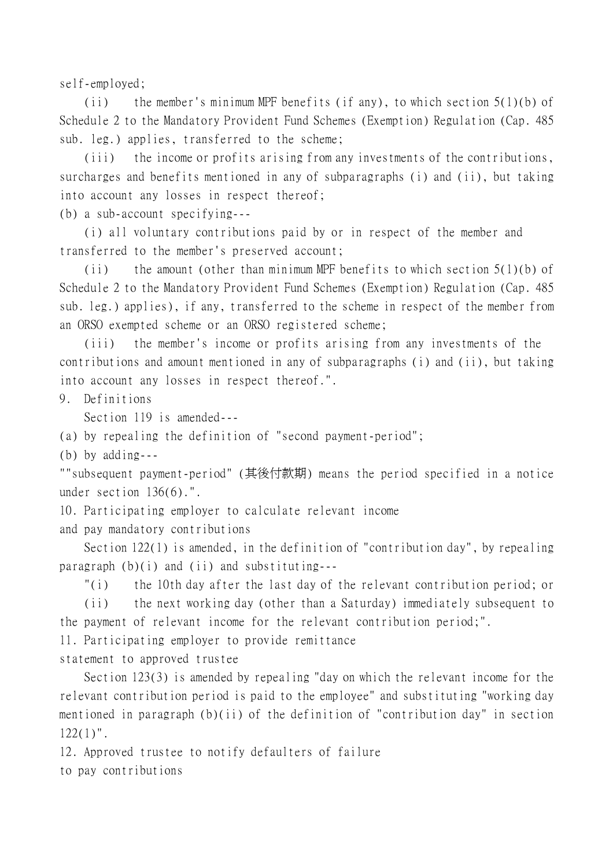self-employed;

(ii) the member's minimum MPF benefits (if any), to which section 5(1)(b) of Schedule 2 to the Mandatory Provident Fund Schemes (Exemption) Regulation (Cap. 485 sub. leg.) applies, transferred to the scheme;

(iii) the income or profits arising from any investments of the contributions, surcharges and benefits mentioned in any of subparagraphs (i) and (ii), but taking into account any losses in respect thereof;

(b) a sub-account specifying---

(i) all voluntary contributions paid by or in respect of the member and transferred to the member's preserved account;

(ii) the amount (other than minimum MPF benefits to which section  $5(1)(b)$  of Schedule 2 to the Mandatory Provident Fund Schemes (Exemption) Regulation (Cap. 485 sub. leg.) applies), if any, transferred to the scheme in respect of the member from an ORSO exempted scheme or an ORSO registered scheme;

(iii) the member's income or profits arising from any investments of the contributions and amount mentioned in any of subparagraphs (i) and (ii), but taking into account any losses in respect thereof.".

9. Definitions

Section 119 is amended---

(a) by repealing the definition of "second payment-period";

(b) by adding---

""subsequent payment-period" (其後付款期) means the period specified in a notice under section 136(6).".

10. Participating employer to calculate relevant income and pay mandatory contributions

Section 122(1) is amended, in the definition of "contribution day", by repealing paragraph  $(b)(i)$  and  $(ii)$  and substituting---

"(i) the 10th day after the last day of the relevant contribution period; or

(ii) the next working day (other than a Saturday) immediately subsequent to the payment of relevant income for the relevant contribution period;".

11. Participating employer to provide remittance

statement to approved trustee

Section 123(3) is amended by repealing "day on which the relevant income for the relevant contribution period is paid to the employee" and substituting "working day mentioned in paragraph (b)(ii) of the definition of "contribution day" in section  $122(1)$ ".

12. Approved trustee to notify defaulters of failure to pay contributions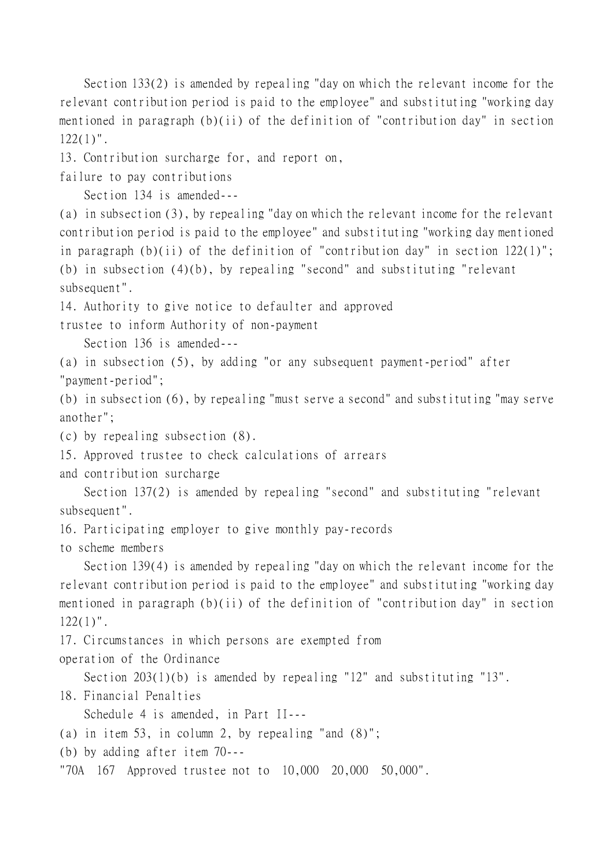Section 133(2) is amended by repealing "day on which the relevant income for the relevant contribution period is paid to the employee" and substituting "working day mentioned in paragraph (b)(ii) of the definition of "contribution day" in section  $122(1)$ ".

13. Contribution surcharge for, and report on,

failure to pay contributions

Section 134 is amended---

(a) in subsection (3), by repealing "day on which the relevant income for the relevant contribution period is paid to the employee" and substituting "working day mentioned in paragraph (b)(ii) of the definition of "contribution day" in section 122(1)"; (b) in subsection (4)(b), by repealing "second" and substituting "relevant subsequent".

14. Authority to give notice to defaulter and approved

trustee to inform Authority of non-payment

Section 136 is amended---

(a) in subsection (5), by adding "or any subsequent payment-period" after "payment-period";

(b) in subsection (6), by repealing "must serve a second" and substituting "may serve another";

(c) by repealing subsection (8).

15. Approved trustee to check calculations of arrears

and contribution surcharge

Section 137(2) is amended by repealing "second" and substituting "relevant subsequent".

16. Participating employer to give monthly pay-records

to scheme members

Section 139(4) is amended by repealing "day on which the relevant income for the relevant contribution period is paid to the employee" and substituting "working day mentioned in paragraph (b)(ii) of the definition of "contribution day" in section  $122(1)$ ".

17. Circumstances in which persons are exempted from operation of the Ordinance

Section 203(1)(b) is amended by repealing "12" and substituting "13".

18. Financial Penalties

Schedule 4 is amended, in Part II---

(a) in item 53, in column 2, by repealing "and (8)";

(b) by adding after item 70---

"70A 167 Approved trustee not to 10,000 20,000 50,000".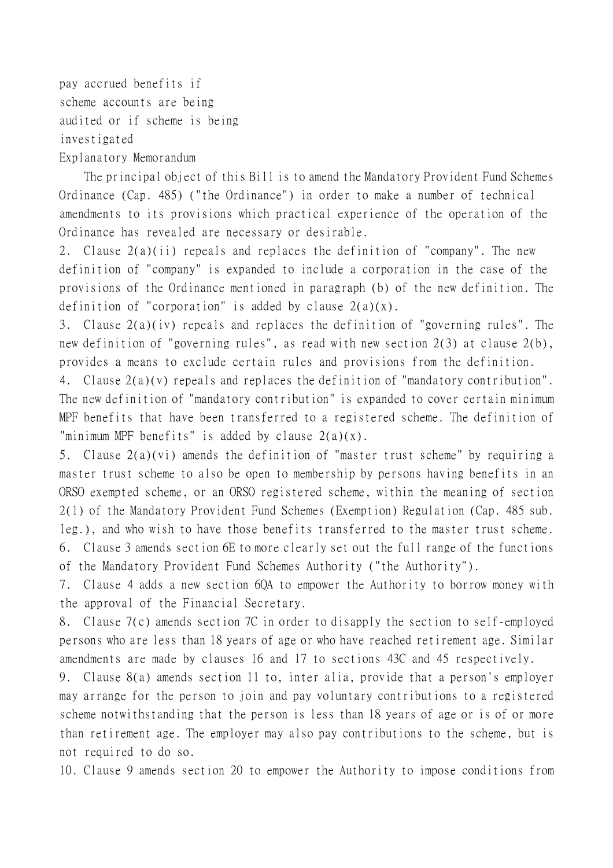pay accrued benefits if scheme accounts are being audited or if scheme is being investigated Explanatory Memorandum

The principal object of this Bill is to amend the Mandatory Provident Fund Schemes Ordinance (Cap. 485) ("the Ordinance") in order to make a number of technical amendments to its provisions which practical experience of the operation of the Ordinance has revealed are necessary or desirable.

2. Clause 2(a)(ii) repeals and replaces the definition of "company". The new definition of "company" is expanded to include a corporation in the case of the provisions of the Ordinance mentioned in paragraph (b) of the new definition. The definition of "corporation" is added by clause  $2(a)(x)$ .

3. Clause 2(a)(iv) repeals and replaces the definition of "governing rules". The new definition of "governing rules", as read with new section 2(3) at clause 2(b), provides a means to exclude certain rules and provisions from the definition.

4. Clause 2(a)(v) repeals and replaces the definition of "mandatory contribution". The new definition of "mandatory contribution" is expanded to cover certain minimum MPF benefits that have been transferred to a registered scheme. The definition of "minimum MPF benefits" is added by clause  $2(a)(x)$ .

5. Clause 2(a)(vi) amends the definition of "master trust scheme" by requiring a master trust scheme to also be open to membership by persons having benefits in an ORSO exempted scheme, or an ORSO registered scheme, within the meaning of section 2(1) of the Mandatory Provident Fund Schemes (Exemption) Regulation (Cap. 485 sub. leg.), and who wish to have those benefits transferred to the master trust scheme. 6. Clause 3 amends section 6E to more clearly set out the full range of the functions of the Mandatory Provident Fund Schemes Authority ("the Authority").

7. Clause 4 adds a new section 6QA to empower the Authority to borrow money with the approval of the Financial Secretary.

8. Clause 7(c) amends section 7C in order to disapply the section to self-employed persons who are less than 18 years of age or who have reached retirement age. Similar amendments are made by clauses 16 and 17 to sections 43C and 45 respectively.

9. Clause 8(a) amends section 11 to, inter alia, provide that a person's employer may arrange for the person to join and pay voluntary contributions to a registered scheme notwithstanding that the person is less than 18 years of age or is of or more than retirement age. The employer may also pay contributions to the scheme, but is not required to do so.

10. Clause 9 amends section 20 to empower the Authority to impose conditions from